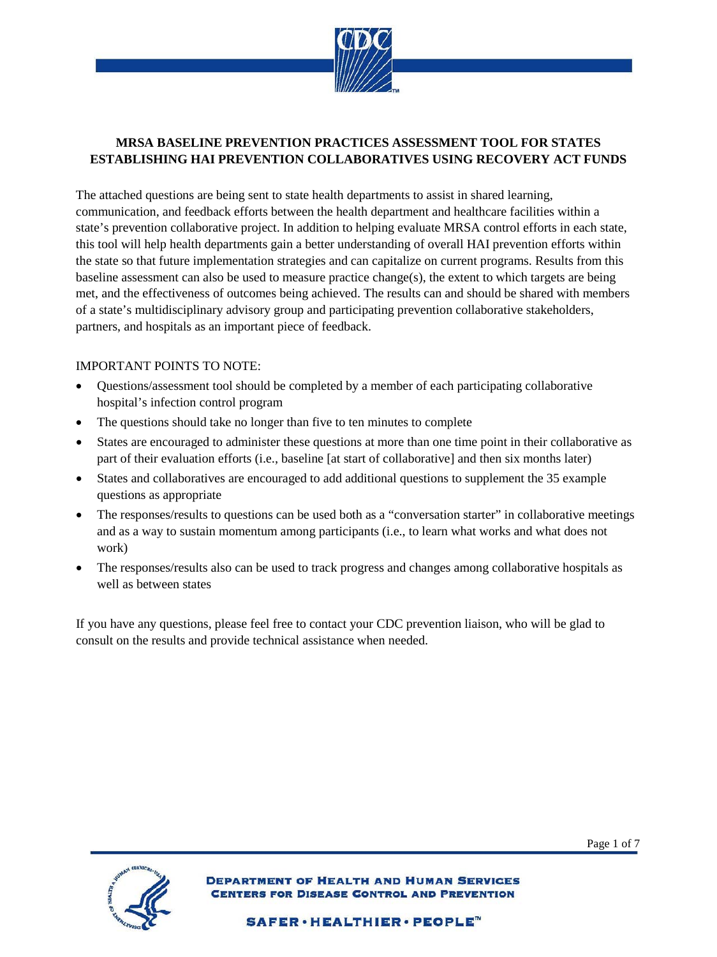

## **ESTABLISHING HAI PREVENTION COLLABORATIVES USING RECOVERY ACT FUNDS MRSA BASELINE PREVENTION PRACTICES ASSESSMENT TOOL FOR STATES**

 baseline assessment can also be used to measure practice change(s), the extent to which targets are being met, and the effectiveness of outcomes being achieved. The results can and should be shared with members The attached questions are being sent to state health departments to assist in shared learning, communication, and feedback efforts between the health department and healthcare facilities within a state's prevention collaborative project. In addition to helping evaluate MRSA control efforts in each state, this tool will help health departments gain a better understanding of overall HAI prevention efforts within the state so that future implementation strategies and can capitalize on current programs. Results from this of a state's multidisciplinary advisory group and participating prevention collaborative stakeholders, partners, and hospitals as an important piece of feedback.

## IMPORTANT POINTS TO NOTE:

- hospital's infection control program • Questions/assessment tool should be completed by a member of each participating collaborative
- The questions should take no longer than five to ten minutes to complete
- • States are encouraged to administer these questions at more than one time point in their collaborative as part of their evaluation efforts (i.e., baseline [at start of collaborative] and then six months later)
- • States and collaboratives are encouraged to add additional questions to supplement the 35 example questions as appropriate
- The responses/results to questions can be used both as a "conversation starter" in collaborative meetings and as a way to sustain momentum among participants (i.e., to learn what works and what does not work)
- The responses/results also can be used to track progress and changes among collaborative hospitals as well as between states

 If you have any questions, please feel free to contact your CDC prevention liaison, who will be glad to consult on the results and provide technical assistance when needed.



Page 1 of 7

**DEPARTMENT OF HEALTH AND HUMAN SERVICES** ERS FOR DISEASE CONTROL AND PREVENTION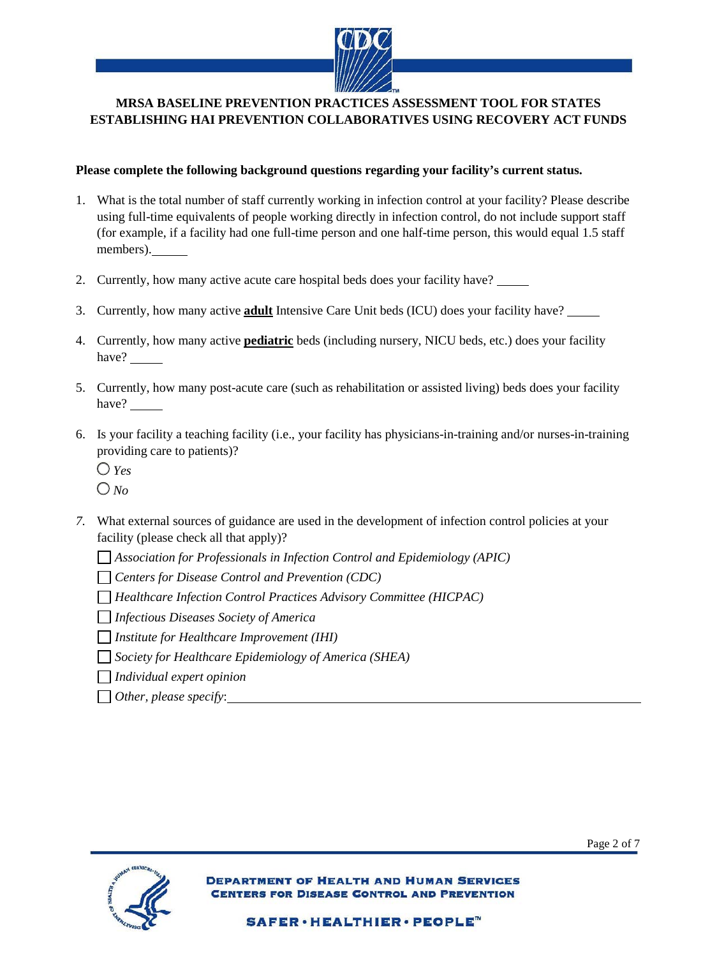

## **ESTABLISHING HAI PREVENTION COLLABORATIVES USING RECOVERY ACT FUNDS MRSA BASELINE PREVENTION PRACTICES ASSESSMENT TOOL FOR STATES**

## **Please complete the following background questions regarding your facility's current status.**

- (for example, if a facility had one full-time person and one half-time person, this would equal 1.5 staff members). 1. What is the total number of staff currently working in infection control at your facility? Please describe using full-time equivalents of people working directly in infection control, do not include support staff
- members). 12. Currently, how many active acute care hospital beds does your facility have?
- 3. Currently, how many active **adult** Intensive Care Unit beds (ICU) does your facility have?
- 4. Currently, how many active **pediatric** beds (including nursery, NICU beds, etc.) does your facility have?
- 5. Currently, how many post-acute care (such as rehabilitation or assisted living) beds does your facility have?
- providing care to patients)? 6. Is your facility a teaching facility (i.e., your facility has physicians-in-training and/or nurses-in-training

 *Yes No*

- *7.* What external sources of guidance are used in the development of infection control policies at your facility (please check all that apply)?
	- *Association for Professionals in Infection Control and Epidemiology (APIC)*
	- *Centers for Disease Control and Prevention (CDC)*
	- *Healthcare Infection Control Practices Advisory Committee (HICPAC)*
	- *Infectious Diseases Society of America*
	- *Institute for Healthcare Improvement (IHI)*
	- *Society for Healthcare Epidemiology of America (SHEA)*
	- *Individual expert opinion*
	- *Other, please specify*:



Page 2 of 7

**DEPARTMENT OF HEALTH AND HUMAN SERVICES IRS FOR DISEASE CONTROL AND PREVENTION**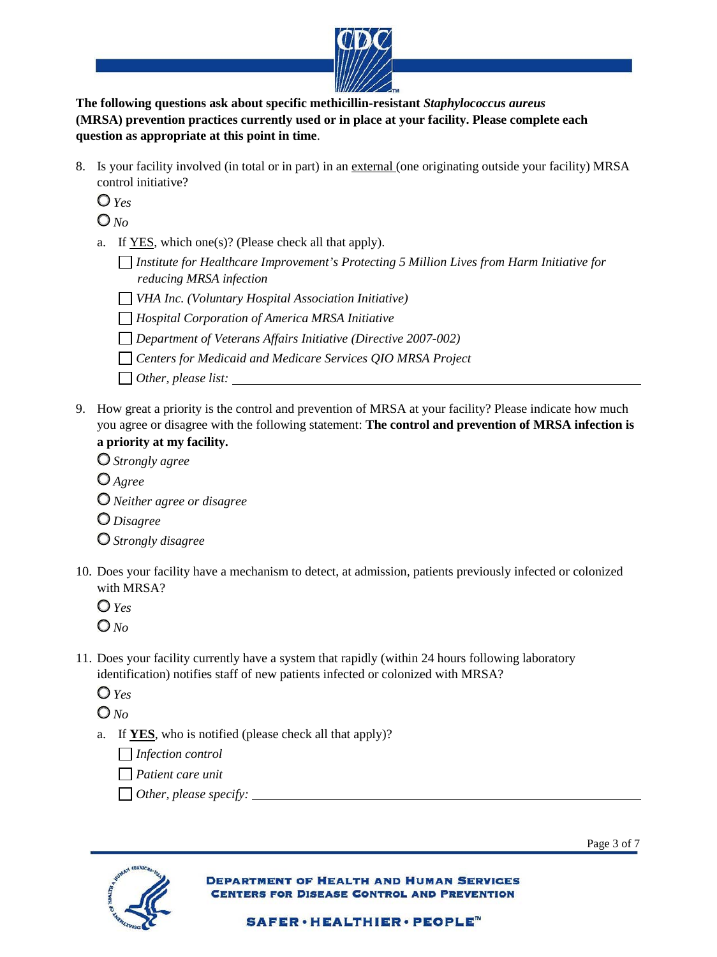

 **The following questions ask about specific methicillin-resistant** *Staphylococcus aureus*  **(MRSA) prevention practices currently used or in place at your facility. Please complete each question as appropriate at this point in time**.

8. Is your facility involved (in total or in part) in an external (one originating outside your facility) MRSA control initiative?

*Yes*

*No*

- a. If  $YES$ , which one(s)? (Please check all that apply).
	- *Institute for Healthcare Improvement's Protecting 5 Million Lives from Harm Initiative for reducing MRSA infection*
	- *VHA Inc. (Voluntary Hospital Association Initiative)*
	- *Hospital Corporation of America MRSA Initiative*
	- *Department of Veterans Affairs Initiative (Directive 2007-002)*
	- *Centers for Medicaid and Medicare Services QIO MRSA Project* 
		- *Other, please list:*
- 9. How great a priority is the control and prevention of MRSA at your facility? Please indicate how much you agree or disagree with the following statement: **The control and prevention of MRSA infection is a priority at my facility.** 
	- *Strongly agree Agree Neither agree or disagree*
	- *Disagree*
	- *Strongly disagree*
- 10. Does your facility have a mechanism to detect, at admission, patients previously infected or colonized with MRSA?

*Yes*

- *No*
- 11. Does your facility currently have a system that rapidly (within 24 hours following laboratory identification) notifies staff of new patients infected or colonized with MRSA?
	- *Yes*

*No*

a. If **YES**, who is notified (please check all that apply)?

*Infection control*

 *Patient care unit*

*Other, please specify:*



**DEPARTMENT OF HEALTH AND HUMAN SERVICES** FOR DISEASE CONTROL AND PREVENTION

Page 3 of 7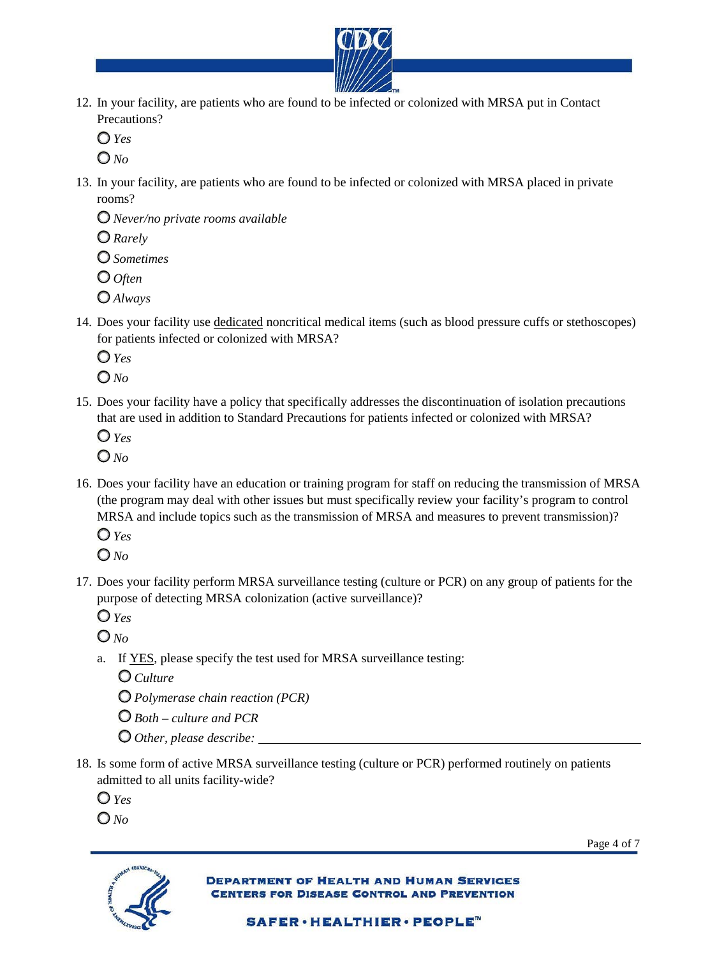

- 12. In your facility, are patients who are found to be infected or colonized with MRSA put in Contact Precautions?
	- $O$   $Y_{\ell}$ s

*No* 

 13. In your facility, are patients who are found to be infected or colonized with MRSA placed in private rooms?

*Never/no private rooms available* 

*Rarely* 

*Sometimes* 

*Often* 

- *Always*
- 14. Does your facility use dedicated noncritical medical items (such as blood pressure cuffs or stethoscopes) for patients infected or colonized with MRSA?

*Yes* 

*No* 

15. Does your facility have a policy that specifically addresses the discontinuation of isolation precautions that are used in addition to Standard Precautions for patients infected or colonized with MRSA?

*Yes* 

*No* 

- 16. Does your facility have an education or training program for staff on reducing the transmission of MRSA (the program may deal with other issues but must specifically review your facility's program to control MRSA and include topics such as the transmission of MRSA and measures to prevent transmission)?
	- *Yes*
	- *No*
- 17. Does your facility perform MRSA surveillance testing (culture or PCR) on any group of patients for the purpose of detecting MRSA colonization (active surveillance)?
	- *Yes*

*No* 

a. If **YES**, please specify the test used for MRSA surveillance testing:

*Culture* 

- *Polymerase chain reaction (PCR)*
- *Both culture and PCR*
- *Other, please describe:*
- admitted to all units facility-wide? 18. Is some form of active MRSA surveillance testing (culture or PCR) performed routinely on patients
	- *Yes*
	- *No*



Page 4 of 7

**DEPARTMENT OF HEALTH AND HUMAN SERVICES DISEASE CONTROL AND PREVENTION**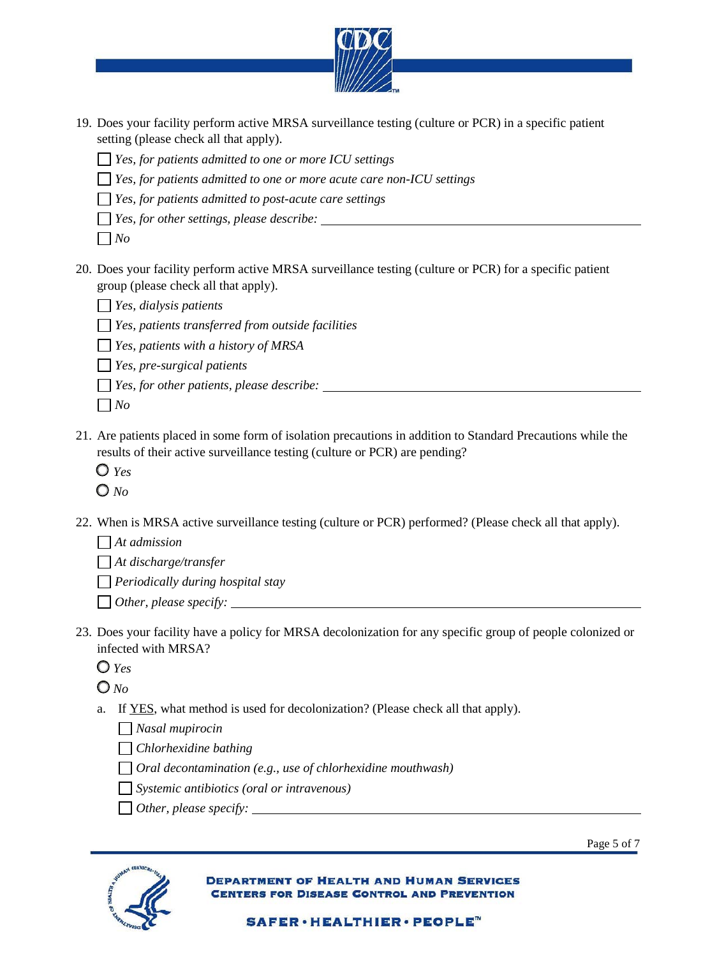

- 19. Does your facility perform active MRSA surveillance testing (culture or PCR) in a specific patient setting (please check all that apply).
	- *Yes, for patients admitted to one or more ICU settings*
	- *Yes, for patients admitted to one or more acute care non-ICU settings*
	- *Yes, for patients admitted to post-acute care settings*
	- *Yes, for other settings, please describe: No*

- 20. Does your facility perform active MRSA surveillance testing (culture or PCR) for a specific patient group (please check all that apply).
	- *Yes, dialysis patients*
	- *Yes, patients transferred from outside facilities*
	- *Yes, patients with a history of MRSA*
	- *Yes, pre-surgical patients*
	- *Yes, for other patients, please describe:*
	- $\Box$  *No*
- results of their active surveillance testing (culture or PCR) are pending? 21. Are patients placed in some form of isolation precautions in addition to Standard Precautions while the
	- *Yes*
	- *No*
- 22. When is MRSA active surveillance testing (culture or PCR) performed? (Please check all that apply).

*At admission* 

*At discharge/transfer* 

 *Periodically during hospital stay Other, please specify:* 

- $\Box$  Other, please specify:
- 23. Does your facility have a policy for MRSA decolonization for any specific group of people colonized or infected with MRSA?
	- *Yes*

*No* 

a. If YES, what method is used for decolonization? (Please check all that apply).

*Nasal mupirocin* 

*Chlorhexidine bathing* 

*Oral decontamination (e.g., use of chlorhexidine mouthwash)* 

*Systemic antibiotics (oral or intravenous)* 

*Other, please specify:* 



**DEPARTMENT OF HEALTH AND HUMAN SERVICES** FOR DISEASE CONTROL AND PREVENTION

Page 5 of 7

SAFER·HEALTHIER·PEOPLE™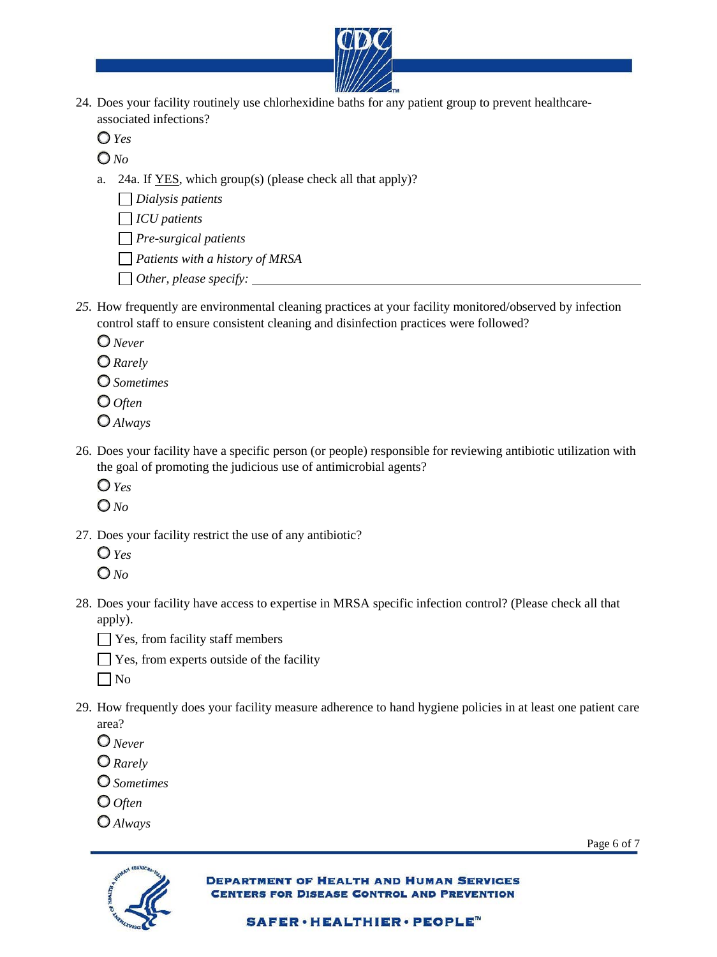

24. Does your facility routinely use chlorhexidine baths for any patient group to prevent healthcareassociated infections?

 $O$   $Y_{ex}$ 

*No* 

- a. 24a. If YES, which group(s) (please check all that apply)?
	- *Dialysis patients*

*ICU patients*

- *Pre-surgical patients*
- *Patients with a history of MRSA*
- *Other, please specify:*
- control staff to ensure consistent cleaning and disinfection practices were followed? *25.* How frequently are environmental cleaning practices at your facility monitored/observed by infection
	- *Never*
	- *Rarely*
	- *Sometimes*
	- *Often*
	- *Always*
- 26. Does your facility have a specific person (or people) responsible for reviewing antibiotic utilization with the goal of promoting the judicious use of antimicrobial agents?
	-
	- *Yes No*  $\overline{O}N_0$
- 27. Does your facility restrict the use of any antibiotic?
	- $Q_{Yes}$
	- *Yes No*
- 28. Does your facility have access to expertise in MRSA specific infection control? (Please check all that apply).
	- $\Box$  Yes, from facility staff members
	- $\Box$  Yes, from experts outside of the facility
	- $\Box$  No
- 29. How frequently does your facility measure adherence to hand hygiene policies in at least one patient care area?
	- *Never*
	- *Rarely*
	- *Sometimes*
	- *Often*
	- *Always*



**DEPARTMENT OF HEALTH AND HUMAN SERVICES DISEASE CONTROL AND PREVENTION** 

Page 6 of 7